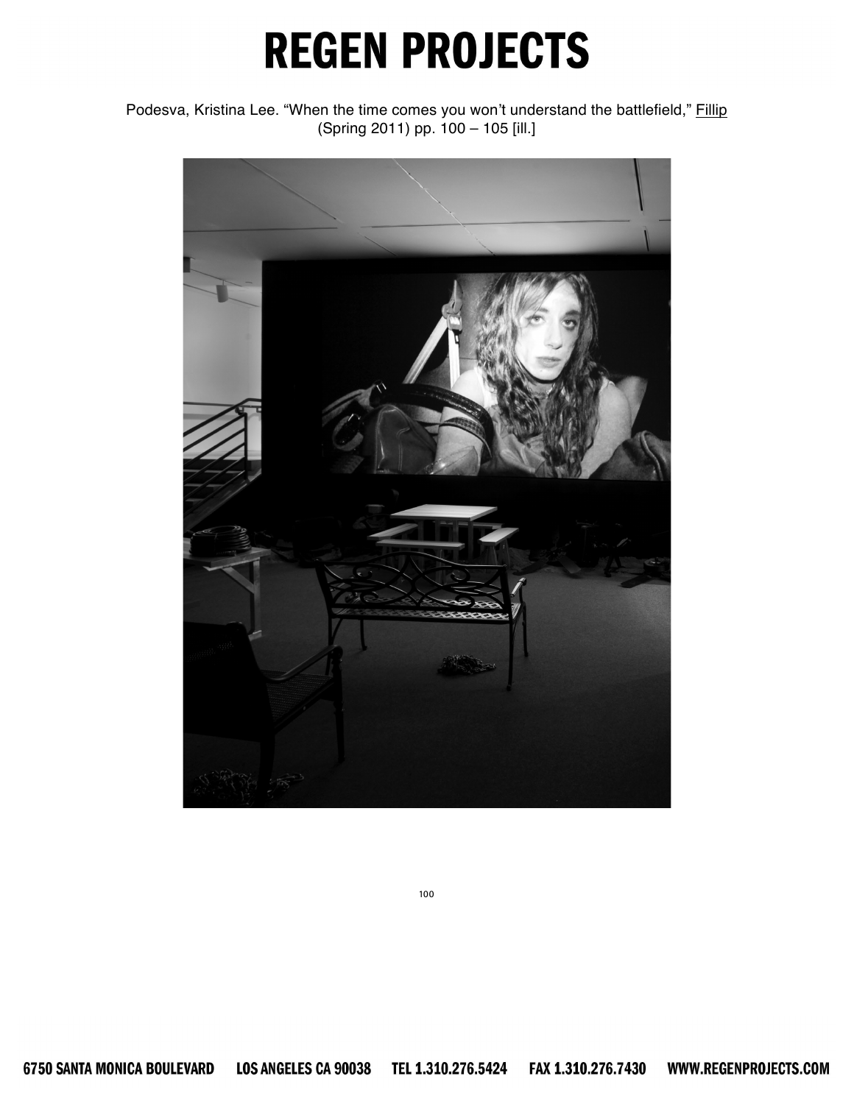Podesva, Kristina Lee. "When the time comes you won't understand the battlefield," Fillip (Spring 2011) pp. 100 – 105 [ill.]

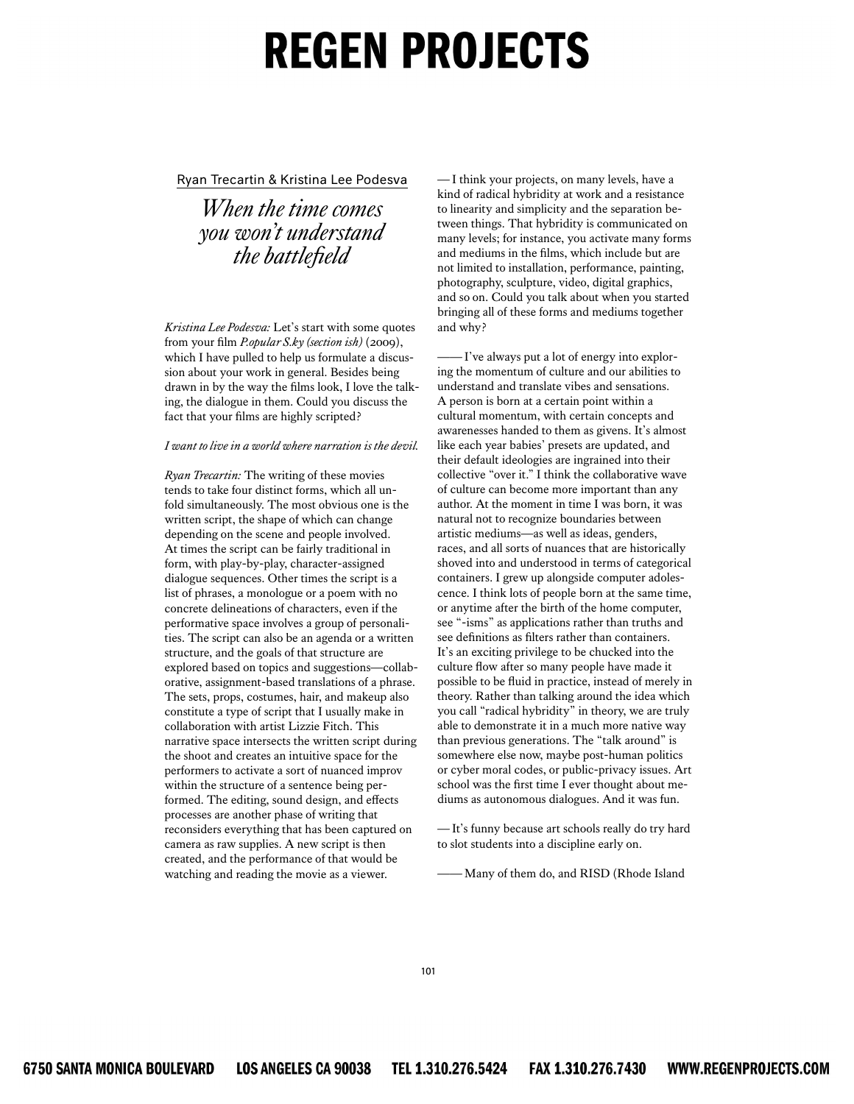Ryan Trecartin & Kristina Lee Podesva

*When the time comes you won't understand*  the battlefield

*Kristina Lee Podesva: Let's start with some quotes* from your film *P.opular S.ky (section ish)* (2009), which I have pulled to help us formulate a discussion about your work in general. Besides being drawn in by the way the films look, I love the talking, the dialogue in them. Could you discuss the fact that your films are highly scripted?

#### *I* want to live in a world where narration is the devil.

*Ryan Trecartin:* The writing of these movies tends to take four distinct forms, which all unfold simultaneously. The most obvious one is the written script, the shape of which can change depending on the scene and people involved. At times the script can be fairly traditional in form, with play-by-play, character-assigned dialogue sequences. Other times the script is a list of phrases, a monologue or a poem with no concrete delineations of characters, even if the performative space involves a group of personalities. The script can also be an agenda or a written structure, and the goals of that structure are explored based on topics and suggestions—collaborative, assignment-based translations of a phrase. The sets, props, costumes, hair, and makeup also constitute a type of script that I usually make in collaboration with artist Lizzie Fitch. This narrative space intersects the written script during the shoot and creates an intuitive space for the performers to activate a sort of nuanced improv within the structure of a sentence being performed. The editing, sound design, and effects processes are another phase of writing that reconsiders everything that has been captured on camera as raw supplies. A new script is then created, and the performance of that would be watching and reading the movie as a viewer.

*—* I think your projects, on many levels, have a kind of radical hybridity at work and a resistance to linearity and simplicity and the separation between things. That hybridity is communicated on many levels; for instance, you activate many forms and mediums in the films, which include but are not limited to installation, performance, painting, photography, sculpture, video, digital graphics, and so on. Could you talk about when you started bringing all of these forms and mediums together and why?

*——* I've always put a lot of energy into exploring the momentum of culture and our abilities to understand and translate vibes and sensations. A person is born at a certain point within a cultural momentum, with certain concepts and awarenesses handed to them as givens. It's almost like each year babies' presets are updated, and their default ideologies are ingrained into their collective "over it." I think the collaborative wave of culture can become more important than any author. At the moment in time I was born, it was natural not to recognize boundaries between artistic mediums—as well as ideas, genders, races, and all sorts of nuances that are historically shoved into and understood in terms of categorical containers. I grew up alongside computer adolescence. I think lots of people born at the same time, or anytime after the birth of the home computer, see "-isms" as applications rather than truths and see definitions as filters rather than containers. It's an exciting privilege to be chucked into the culture flow after so many people have made it possible to be fluid in practice, instead of merely in theory. Rather than talking around the idea which you call "radical hybridity" in theory, we are truly able to demonstrate it in a much more native way than previous generations. The "talk around" is somewhere else now, maybe post-human politics or cyber moral codes, or public-privacy issues. Art school was the first time I ever thought about mediums as autonomous dialogues. And it was fun.

*—* It's funny because art schools really do try hard to slot students into a discipline early on.

Many of them do, and RISD (Rhode Island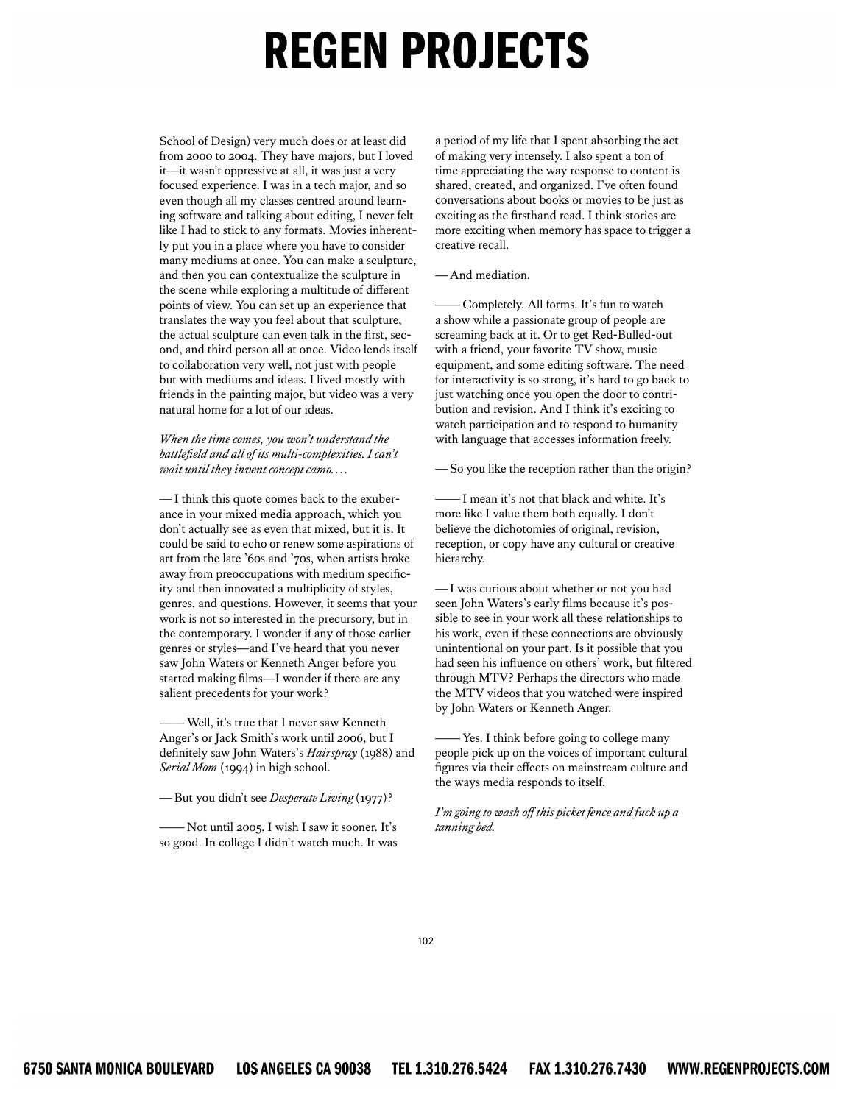School of Design) very much does or at least did from 2000 to 2004. They have majors, but I loved it—it wasn't oppressive at all, it was just a very focused experience. I was in a tech major, and so even though all my classes centred around learning software and talking about editing, I never felt like I had to stick to any formats. Movies inherently put you in a place where you have to consider many mediums at once. You can make a sculpture, and then you can contextualize the sculpture in the scene while exploring a multitude of different points of view. You can set up an experience that translates the way you feel about that sculpture, the actual sculpture can even talk in the first, second, and third person all at once. Video lends itself to collaboration very well, not just with people but with mediums and ideas. I lived mostly with friends in the painting major, but video was a very natural home for a lot of our ideas.

When the time comes, you won't understand the battlefield and all of its multi-complexities. I can't  $wait$  until they invent concept camo....

-I think this quote comes back to the exuberance in your mixed media approach, which you don't actually see as even that mixed, but it is. It could be said to echo or renew some aspirations of art from the late '60s and '70s, when artists broke away from preoccupations with medium specificity and then innovated a multiplicity of styles, genres, and questions. However, it seems that your work is not so interested in the precursory, but in the contemporary. I wonder if any of those earlier genres or styles-and I've heard that you never saw John Waters or Kenneth Anger before you started making films-I wonder if there are any salient precedents for your work?

- Well, it's true that I never saw Kenneth Anger's or Jack Smith's work until 2006, but I definitely saw John Waters's Hairspray (1988) and Serial Mom (1994) in high school.

- But you didn't see *Desperate Living* (1977)?

- Not until 2005. I wish I saw it sooner. It's so good. In college I didn't watch much. It was

a period of my life that I spent absorbing the act of making very intensely. I also spent a ton of time appreciating the way response to content is shared, created, and organized. I've often found conversations about books or movies to be just as exciting as the firsthand read. I think stories are more exciting when memory has space to trigger a creative recall.

#### $-\Delta$ nd mediation

Completely. All forms. It's fun to watch a show while a passionate group of people are screaming back at it. Or to get Red-Bulled-out with a friend, your favorite TV show, music equipment, and some editing software. The need for interactivity is so strong, it's hard to go back to just watching once you open the door to contribution and revision. And I think it's exciting to watch participation and to respond to humanity with language that accesses information freely.

-So you like the reception rather than the origin?

- I mean it's not that black and white. It's more like I value them both equally. I don't believe the dichotomies of original, revision, reception, or copy have any cultural or creative hierarchy.

-I was curious about whether or not you had seen John Waters's early films because it's possible to see in your work all these relationships to his work, even if these connections are obviously unintentional on your part. Is it possible that you had seen his influence on others' work, but filtered through MTV? Perhaps the directors who made the MTV videos that you watched were inspired by John Waters or Kenneth Anger.

- Yes. I think before going to college many  $\overline{\phantom{0}}$ people pick up on the voices of important cultural figures via their effects on mainstream culture and the ways media responds to itself.

I'm going to wash off this picket fence and fuck up a tanning bed.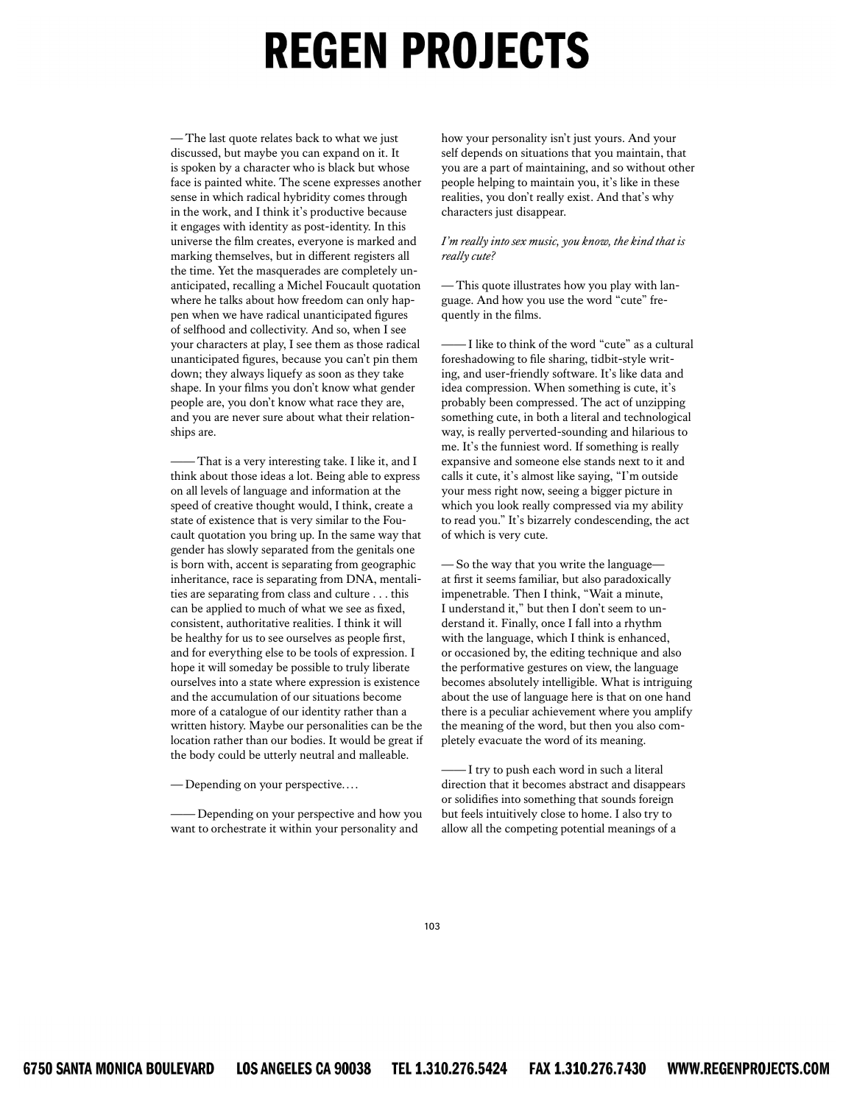-The last quote relates back to what we just discussed, but maybe you can expand on it. It is spoken by a character who is black but whose face is painted white. The scene expresses another sense in which radical hybridity comes through in the work, and I think it's productive because it engages with identity as post-identity. In this universe the film creates, everyone is marked and marking themselves, but in different registers all the time. Yet the masquerades are completely unanticipated, recalling a Michel Foucault quotation where he talks about how freedom can only happen when we have radical unanticipated figures of selfhood and collectivity. And so, when I see your characters at play, I see them as those radical unanticipated figures, because you can't pin them down; they always liquefy as soon as they take shape. In your films you don't know what gender people are, you don't know what race they are, and you are never sure about what their relationships are.

- That is a very interesting take. I like it, and I think about those ideas a lot. Being able to express on all levels of language and information at the speed of creative thought would, I think, create a state of existence that is very similar to the Foucault quotation you bring up. In the same way that gender has slowly separated from the genitals one is born with, accent is separating from geographic inheritance, race is separating from DNA, mentalities are separating from class and culture . . . this can be applied to much of what we see as fixed, consistent, authoritative realities. I think it will be healthy for us to see ourselves as people first, and for everything else to be tools of expression. I hope it will someday be possible to truly liberate ourselves into a state where expression is existence and the accumulation of our situations become more of a catalogue of our identity rather than a written history. Maybe our personalities can be the location rather than our bodies. It would be great if the body could be utterly neutral and malleable.

- Depending on your perspective....

- Depending on your perspective and how you want to orchestrate it within your personality and

how your personality isn't just yours. And your self depends on situations that you maintain, that you are a part of maintaining, and so without other people helping to maintain you, it's like in these realities, you don't really exist. And that's why characters just disappear.

#### I'm really into sex music, you know, the kind that is really cute?

-This quote illustrates how you play with language. And how you use the word "cute" frequently in the films.

- I like to think of the word "cute" as a cultural foreshadowing to file sharing, tidbit-style writing, and user-friendly software. It's like data and idea compression. When something is cute, it's probably been compressed. The act of unzipping something cute, in both a literal and technological way, is really perverted-sounding and hilarious to me. It's the funniest word. If something is really expansive and someone else stands next to it and calls it cute, it's almost like saying, "I'm outside your mess right now, seeing a bigger picture in which you look really compressed via my ability to read you." It's bizarrely condescending, the act of which is very cute.

-So the way that you write the languageat first it seems familiar, but also paradoxically impenetrable. Then I think, "Wait a minute, I understand it," but then I don't seem to understand it. Finally, once I fall into a rhythm with the language, which I think is enhanced, or occasioned by, the editing technique and also the performative gestures on view, the language becomes absolutely intelligible. What is intriguing about the use of language here is that on one hand there is a peculiar achievement where you amplify the meaning of the word, but then you also completely evacuate the word of its meaning.

-I try to push each word in such a literal direction that it becomes abstract and disappears or solidifies into something that sounds foreign but feels intuitively close to home. I also try to allow all the competing potential meanings of a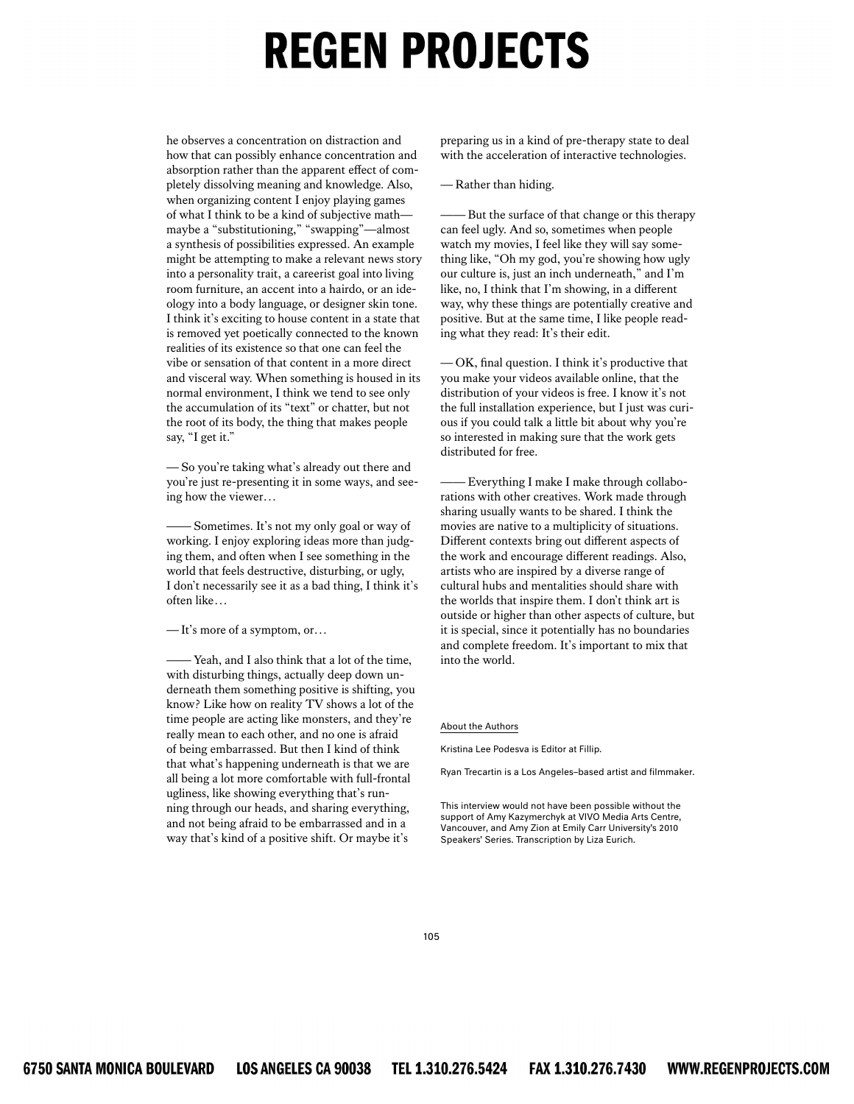he observes a concentration on distraction and how that can possibly enhance concentration and absorption rather than the apparent effect of completely dissolving meaning and knowledge. Also, when organizing content I enjoy playing games of what I think to be a kind of subjective math maybe a "substitutioning," "swapping"—almost a synthesis of possibilities expressed. An example might be attempting to make a relevant news story into a personality trait, a careerist goal into living room furniture, an accent into a hairdo, or an ideology into a body language, or designer skin tone. I think it's exciting to house content in a state that is removed yet poetically connected to the known realities of its existence so that one can feel the vibe or sensation of that content in a more direct and visceral way. When something is housed in its normal environment, I think we tend to see only the accumulation of its "text" or chatter, but not the root of its body, the thing that makes people say, "I get it."

*—* So you're taking what's already out there and you're just re-presenting it in some ways, and seeing how the viewer...

*——* Sometimes. It's not my only goal or way of working. I enjoy exploring ideas more than judging them, and often when I see something in the world that feels destructive, disturbing, or ugly, I don't necessarily see it as a bad thing, I think it's often like...

*—* It's more of a symptom, or...

Yeah, and I also think that a lot of the time, with disturbing things, actually deep down underneath them something positive is shifting, you know? Like how on reality TV shows a lot of the time people are acting like monsters, and they're really mean to each other, and no one is afraid of being embarrassed. But then I kind of think that what's happening underneath is that we are all being a lot more comfortable with full-frontal ugliness, like showing everything that's running through our heads, and sharing everything, and not being afraid to be embarrassed and in a way that's kind of a positive shift. Or maybe it's

preparing us in a kind of pre-therapy state to deal with the acceleration of interactive technologies.

*—* Rather than hiding.

But the surface of that change or this therapy can feel ugly. And so, sometimes when people watch my movies, I feel like they will say something like, "Oh my god, you're showing how ugly our culture is, just an inch underneath," and I'm like, no, I think that I'm showing, in a different way, why these things are potentially creative and positive. But at the same time, I like people reading what they read: It's their edit.

 $-$ OK, final question. I think it's productive that you make your videos available online, that the distribution of your videos is free. I know it's not the full installation experience, but I just was curious if you could talk a little bit about why you're so interested in making sure that the work gets distributed for free.

Everything I make I make through collaborations with other creatives. Work made through sharing usually wants to be shared. I think the movies are native to a multiplicity of situations. Different contexts bring out different aspects of the work and encourage different readings. Also, artists who are inspired by a diverse range of cultural hubs and mentalities should share with the worlds that inspire them. I don't think art is outside or higher than other aspects of culture, but it is special, since it potentially has no boundaries and complete freedom. It's important to mix that into the world.

#### About the Authors

Kristina Lee Podesva is Editor at Fillip.

Ryan Trecartin is a Los Angeles–based artist and filmmaker.

This interview would not have been possible without the support of Amy Kazymerchyk at VIVO Media Arts Centre, Vancouver, and Amy Zion at Emily Carr University's 2010 Speakers' Series. Transcription by Liza Eurich.